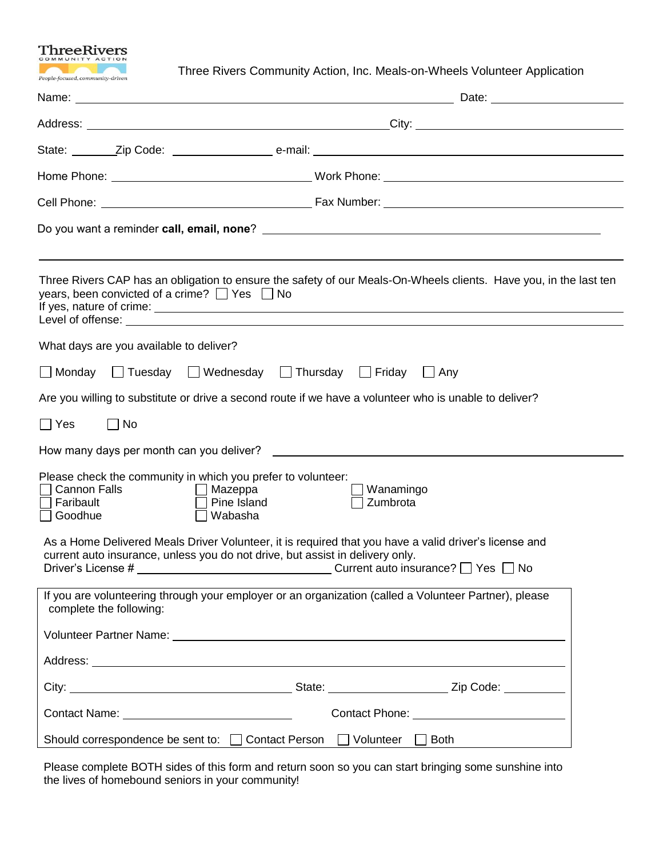

Three Rivers Community Action, Inc. Meals-on-Wheels Volunteer Application

|                                                                                       |                                         | years, been convicted of a crime? $\Box$ Yes $\Box$ No                                                   |                       | Three Rivers CAP has an obligation to ensure the safety of our Meals-On-Wheels clients. Have you, in the last ten                                                                                                         |  |
|---------------------------------------------------------------------------------------|-----------------------------------------|----------------------------------------------------------------------------------------------------------|-----------------------|---------------------------------------------------------------------------------------------------------------------------------------------------------------------------------------------------------------------------|--|
|                                                                                       | What days are you available to deliver? |                                                                                                          |                       |                                                                                                                                                                                                                           |  |
| $\Box$ Monday                                                                         |                                         | □ Tuesday □ Wednesday □ Thursday □ Friday □ Any                                                          |                       |                                                                                                                                                                                                                           |  |
|                                                                                       |                                         |                                                                                                          |                       | Are you willing to substitute or drive a second route if we have a volunteer who is unable to deliver?                                                                                                                    |  |
| $\Box$ Yes                                                                            | $\Box$ No                               |                                                                                                          |                       |                                                                                                                                                                                                                           |  |
|                                                                                       |                                         |                                                                                                          |                       |                                                                                                                                                                                                                           |  |
| <b>Cannon Falls</b><br>Faribault<br>□ Goodhue                                         |                                         | Please check the community in which you prefer to volunteer:<br>$\Box$ Mazeppa<br>Pine Island<br>Wabasha | Wanamingo<br>Zumbrota |                                                                                                                                                                                                                           |  |
|                                                                                       |                                         | current auto insurance, unless you do not drive, but assist in delivery only.                            |                       | As a Home Delivered Meals Driver Volunteer, it is required that you have a valid driver's license and<br>Driver's License # 1000 million = 1000 million = 1000 million = 1000 million = 1000 million = 1000 million = 100 |  |
|                                                                                       | complete the following:                 |                                                                                                          |                       | If you are volunteering through your employer or an organization (called a Volunteer Partner), please                                                                                                                     |  |
|                                                                                       |                                         |                                                                                                          |                       |                                                                                                                                                                                                                           |  |
|                                                                                       |                                         |                                                                                                          |                       |                                                                                                                                                                                                                           |  |
|                                                                                       |                                         |                                                                                                          |                       |                                                                                                                                                                                                                           |  |
|                                                                                       |                                         |                                                                                                          |                       |                                                                                                                                                                                                                           |  |
| Should correspondence be sent to: □ Contact Person<br>$\Box$ Volunteer<br>$\Box$ Both |                                         |                                                                                                          |                       |                                                                                                                                                                                                                           |  |

Please complete BOTH sides of this form and return soon so you can start bringing some sunshine into the lives of homebound seniors in your community!